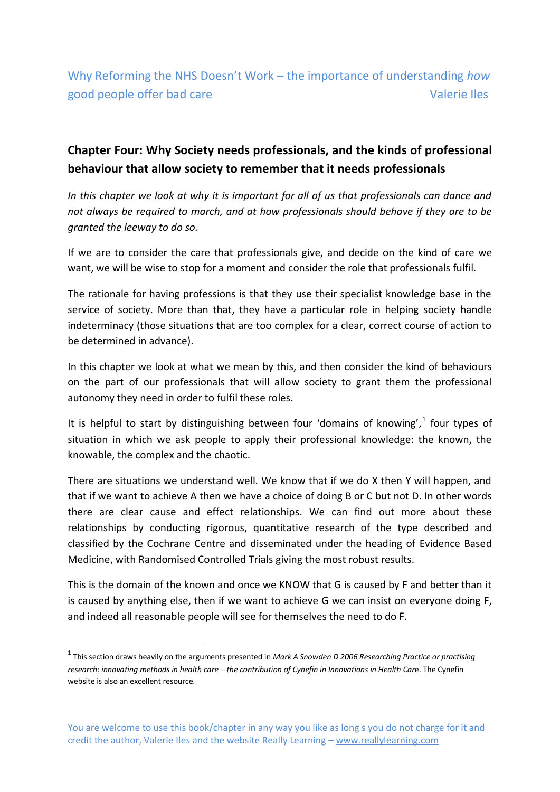Why Reforming the NHS Doesn't Work – the importance of understanding *how* good people offer bad care Valerie Iles

## **Chapter Four: Why Society needs professionals, and the kinds of professional behaviour that allow society to remember that it needs professionals**

*In this chapter we look at why it is important for all of us that professionals can dance and not always be required to march, and at how professionals should behave if they are to be granted the leeway to do so.* 

If we are to consider the care that professionals give, and decide on the kind of care we want, we will be wise to stop for a moment and consider the role that professionals fulfil.

The rationale for having professions is that they use their specialist knowledge base in the service of society. More than that, they have a particular role in helping society handle indeterminacy (those situations that are too complex for a clear, correct course of action to be determined in advance).

In this chapter we look at what we mean by this, and then consider the kind of behaviours on the part of our professionals that will allow society to grant them the professional autonomy they need in order to fulfil these roles.

It is helpful to start by distinguishing between four 'domains of knowing', $1$  four types of situation in which we ask people to apply their professional knowledge: the known, the knowable, the complex and the chaotic.

There are situations we understand well. We know that if we do X then Y will happen, and that if we want to achieve A then we have a choice of doing B or C but not D. In other words there are clear cause and effect relationships. We can find out more about these relationships by conducting rigorous, quantitative research of the type described and classified by the Cochrane Centre and disseminated under the heading of Evidence Based Medicine, with Randomised Controlled Trials giving the most robust results.

This is the domain of the known and once we KNOW that G is caused by F and better than it is caused by anything else, then if we want to achieve G we can insist on everyone doing F, and indeed all reasonable people will see for themselves the need to do F.

**.** 

<sup>1</sup> This section draws heavily on the arguments presented in *Mark A Snowden D 2006 Researching Practice or practising research: innovating methods in health care – the contribution of Cynefin in Innovations in Health Car*e. The Cynefin website is also an excellent resource.

You are welcome to use this book/chapter in any way you like as long s you do not charge for it and credit the author, Valerie Iles and the website Really Learning – www.reallylearning.com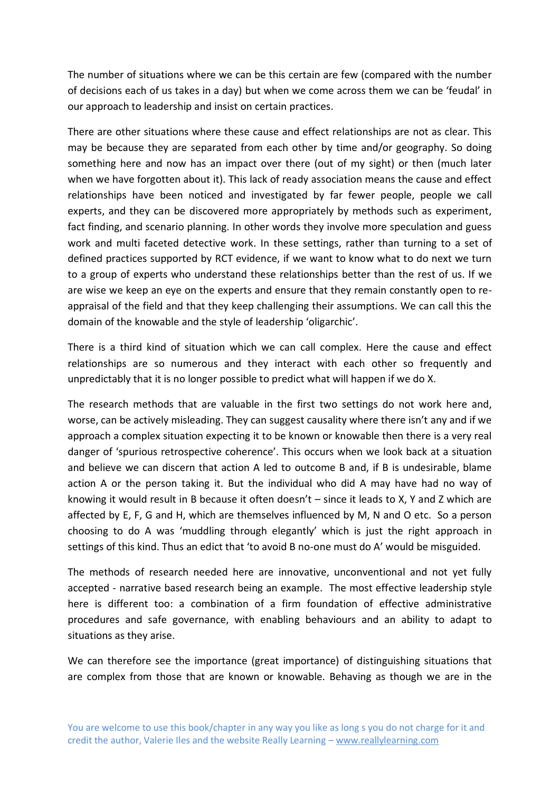The number of situations where we can be this certain are few (compared with the number of decisions each of us takes in a day) but when we come across them we can be 'feudal' in our approach to leadership and insist on certain practices.

There are other situations where these cause and effect relationships are not as clear. This may be because they are separated from each other by time and/or geography. So doing something here and now has an impact over there (out of my sight) or then (much later when we have forgotten about it). This lack of ready association means the cause and effect relationships have been noticed and investigated by far fewer people, people we call experts, and they can be discovered more appropriately by methods such as experiment, fact finding, and scenario planning. In other words they involve more speculation and guess work and multi faceted detective work. In these settings, rather than turning to a set of defined practices supported by RCT evidence, if we want to know what to do next we turn to a group of experts who understand these relationships better than the rest of us. If we are wise we keep an eye on the experts and ensure that they remain constantly open to reappraisal of the field and that they keep challenging their assumptions. We can call this the domain of the knowable and the style of leadership 'oligarchic'.

There is a third kind of situation which we can call complex. Here the cause and effect relationships are so numerous and they interact with each other so frequently and unpredictably that it is no longer possible to predict what will happen if we do X.

The research methods that are valuable in the first two settings do not work here and, worse, can be actively misleading. They can suggest causality where there isn't any and if we approach a complex situation expecting it to be known or knowable then there is a very real danger of 'spurious retrospective coherence'. This occurs when we look back at a situation and believe we can discern that action A led to outcome B and, if B is undesirable, blame action A or the person taking it. But the individual who did A may have had no way of knowing it would result in B because it often doesn't – since it leads to X, Y and Z which are affected by E, F, G and H, which are themselves influenced by M, N and O etc. So a person choosing to do A was 'muddling through elegantly' which is just the right approach in settings of this kind. Thus an edict that 'to avoid B no-one must do A' would be misguided.

The methods of research needed here are innovative, unconventional and not yet fully accepted - narrative based research being an example. The most effective leadership style here is different too: a combination of a firm foundation of effective administrative procedures and safe governance, with enabling behaviours and an ability to adapt to situations as they arise.

We can therefore see the importance (great importance) of distinguishing situations that are complex from those that are known or knowable. Behaving as though we are in the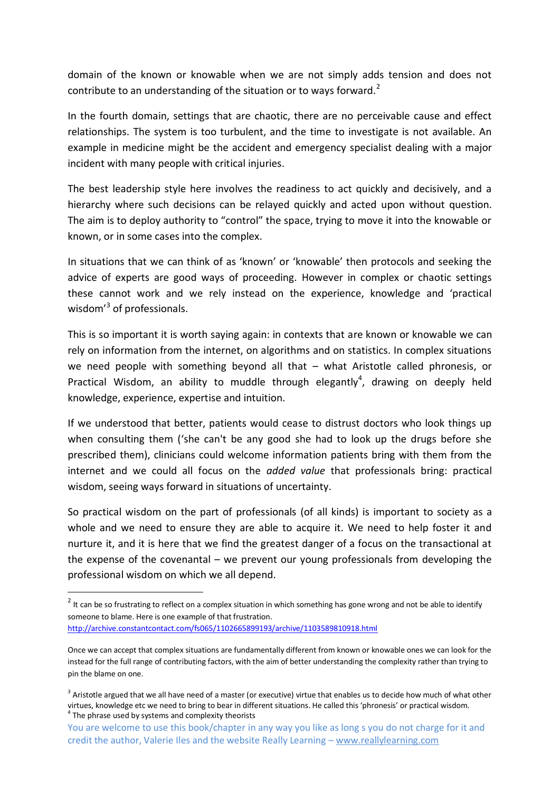domain of the known or knowable when we are not simply adds tension and does not contribute to an understanding of the situation or to ways forward.<sup>2</sup>

In the fourth domain, settings that are chaotic, there are no perceivable cause and effect relationships. The system is too turbulent, and the time to investigate is not available. An example in medicine might be the accident and emergency specialist dealing with a major incident with many people with critical injuries.

The best leadership style here involves the readiness to act quickly and decisively, and a hierarchy where such decisions can be relayed quickly and acted upon without question. The aim is to deploy authority to "control" the space, trying to move it into the knowable or known, or in some cases into the complex.

In situations that we can think of as 'known' or 'knowable' then protocols and seeking the advice of experts are good ways of proceeding. However in complex or chaotic settings these cannot work and we rely instead on the experience, knowledge and 'practical wisdom<sup>'3</sup> of professionals.

This is so important it is worth saying again: in contexts that are known or knowable we can rely on information from the internet, on algorithms and on statistics. In complex situations we need people with something beyond all that – what Aristotle called phronesis, or Practical Wisdom, an ability to muddle through elegantly<sup>4</sup>, drawing on deeply held knowledge, experience, expertise and intuition.

If we understood that better, patients would cease to distrust doctors who look things up when consulting them ('she can't be any good she had to look up the drugs before she prescribed them), clinicians could welcome information patients bring with them from the internet and we could all focus on the *added value* that professionals bring: practical wisdom, seeing ways forward in situations of uncertainty.

So practical wisdom on the part of professionals (of all kinds) is important to society as a whole and we need to ensure they are able to acquire it. We need to help foster it and nurture it, and it is here that we find the greatest danger of a focus on the transactional at the expense of the covenantal – we prevent our young professionals from developing the professional wisdom on which we all depend.

**.** 

 $2$  It can be so frustrating to reflect on a complex situation in which something has gone wrong and not be able to identify someone to blame. Here is one example of that frustration. <http://archive.constantcontact.com/fs065/1102665899193/archive/1103589810918.html>

Once we can accept that complex situations are fundamentally different from known or knowable ones we can look for the instead for the full range of contributing factors, with the aim of better understanding the complexity rather than trying to pin the blame on one.

 $3$  Aristotle argued that we all have need of a master (or executive) virtue that enables us to decide how much of what other virtues, knowledge etc we need to bring to bear in different situations. He called this 'phronesis' or practical wisdom. <sup>4</sup> The phrase used by systems and complexity theorists

You are welcome to use this book/chapter in any way you like as long s you do not charge for it and credit the author, Valerie Iles and the website Really Learning – www.reallylearning.com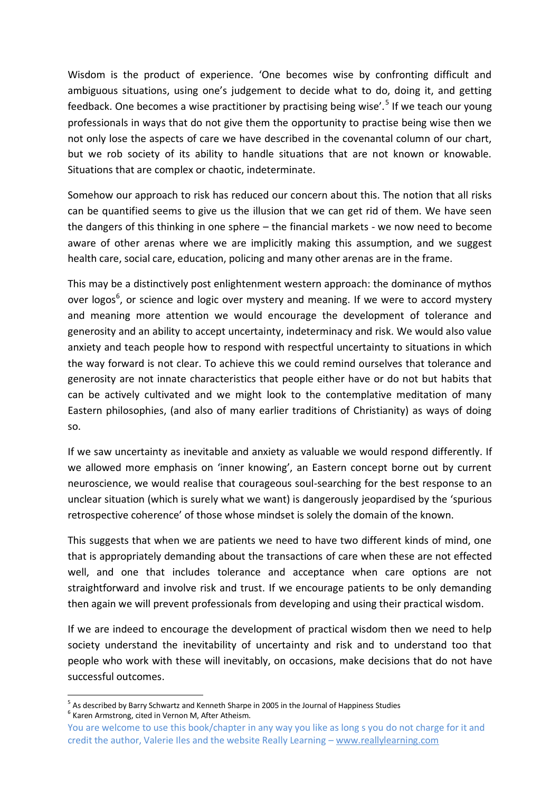Wisdom is the product of experience. 'One becomes wise by confronting difficult and ambiguous situations, using one's judgement to decide what to do, doing it, and getting feedback. One becomes a wise practitioner by practising being wise'.<sup>5</sup> If we teach our young professionals in ways that do not give them the opportunity to practise being wise then we not only lose the aspects of care we have described in the covenantal column of our chart, but we rob society of its ability to handle situations that are not known or knowable. Situations that are complex or chaotic, indeterminate.

Somehow our approach to risk has reduced our concern about this. The notion that all risks can be quantified seems to give us the illusion that we can get rid of them. We have seen the dangers of this thinking in one sphere – the financial markets - we now need to become aware of other arenas where we are implicitly making this assumption, and we suggest health care, social care, education, policing and many other arenas are in the frame.

This may be a distinctively post enlightenment western approach: the dominance of mythos over logos<sup>6</sup>, or science and logic over mystery and meaning. If we were to accord mystery and meaning more attention we would encourage the development of tolerance and generosity and an ability to accept uncertainty, indeterminacy and risk. We would also value anxiety and teach people how to respond with respectful uncertainty to situations in which the way forward is not clear. To achieve this we could remind ourselves that tolerance and generosity are not innate characteristics that people either have or do not but habits that can be actively cultivated and we might look to the contemplative meditation of many Eastern philosophies, (and also of many earlier traditions of Christianity) as ways of doing so.

If we saw uncertainty as inevitable and anxiety as valuable we would respond differently. If we allowed more emphasis on 'inner knowing', an Eastern concept borne out by current neuroscience, we would realise that courageous soul-searching for the best response to an unclear situation (which is surely what we want) is dangerously jeopardised by the 'spurious retrospective coherence' of those whose mindset is solely the domain of the known.

This suggests that when we are patients we need to have two different kinds of mind, one that is appropriately demanding about the transactions of care when these are not effected well, and one that includes tolerance and acceptance when care options are not straightforward and involve risk and trust. If we encourage patients to be only demanding then again we will prevent professionals from developing and using their practical wisdom.

If we are indeed to encourage the development of practical wisdom then we need to help society understand the inevitability of uncertainty and risk and to understand too that people who work with these will inevitably, on occasions, make decisions that do not have successful outcomes.

 5 As described by Barry Schwartz and Kenneth Sharpe in 2005 in the Journal of Happiness Studies

<sup>6</sup> Karen Armstrong, cited in Vernon M, After Atheism.

You are welcome to use this book/chapter in any way you like as long s you do not charge for it and credit the author, Valerie Iles and the website Really Learning – www.reallylearning.com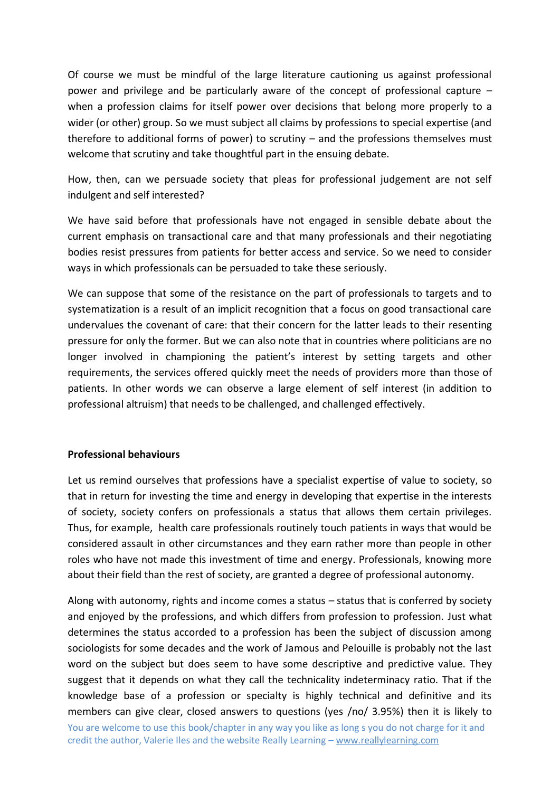Of course we must be mindful of the large literature cautioning us against professional power and privilege and be particularly aware of the concept of professional capture – when a profession claims for itself power over decisions that belong more properly to a wider (or other) group. So we must subject all claims by professions to special expertise (and therefore to additional forms of power) to scrutiny – and the professions themselves must welcome that scrutiny and take thoughtful part in the ensuing debate.

How, then, can we persuade society that pleas for professional judgement are not self indulgent and self interested?

We have said before that professionals have not engaged in sensible debate about the current emphasis on transactional care and that many professionals and their negotiating bodies resist pressures from patients for better access and service. So we need to consider ways in which professionals can be persuaded to take these seriously.

We can suppose that some of the resistance on the part of professionals to targets and to systematization is a result of an implicit recognition that a focus on good transactional care undervalues the covenant of care: that their concern for the latter leads to their resenting pressure for only the former. But we can also note that in countries where politicians are no longer involved in championing the patient's interest by setting targets and other requirements, the services offered quickly meet the needs of providers more than those of patients. In other words we can observe a large element of self interest (in addition to professional altruism) that needs to be challenged, and challenged effectively.

## **Professional behaviours**

Let us remind ourselves that professions have a specialist expertise of value to society, so that in return for investing the time and energy in developing that expertise in the interests of society, society confers on professionals a status that allows them certain privileges. Thus, for example, health care professionals routinely touch patients in ways that would be considered assault in other circumstances and they earn rather more than people in other roles who have not made this investment of time and energy. Professionals, knowing more about their field than the rest of society, are granted a degree of professional autonomy.

You are welcome to use this book/chapter in any way you like as long s you do not charge for it and credit the author, Valerie Iles and the website Really Learning – www.reallylearning.com Along with autonomy, rights and income comes a status – status that is conferred by society and enjoyed by the professions, and which differs from profession to profession. Just what determines the status accorded to a profession has been the subject of discussion among sociologists for some decades and the work of Jamous and Pelouille is probably not the last word on the subject but does seem to have some descriptive and predictive value. They suggest that it depends on what they call the technicality indeterminacy ratio. That if the knowledge base of a profession or specialty is highly technical and definitive and its members can give clear, closed answers to questions (yes /no/ 3.95%) then it is likely to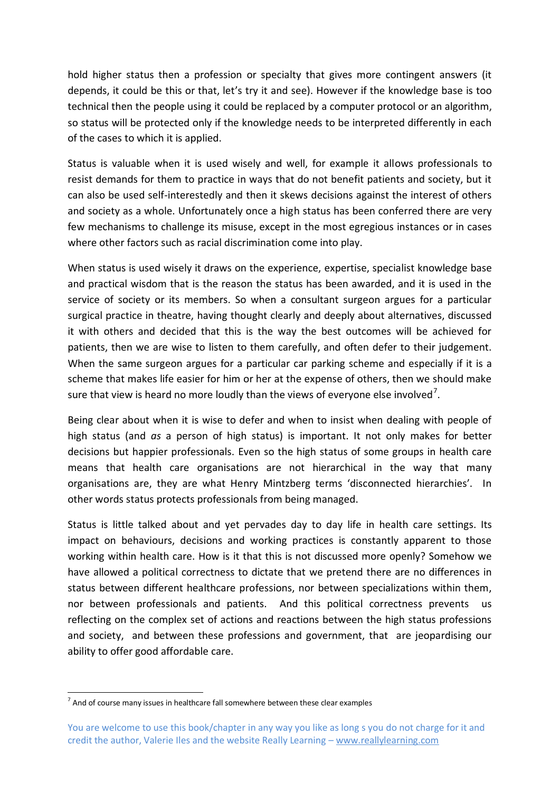hold higher status then a profession or specialty that gives more contingent answers (it depends, it could be this or that, let's try it and see). However if the knowledge base is too technical then the people using it could be replaced by a computer protocol or an algorithm, so status will be protected only if the knowledge needs to be interpreted differently in each of the cases to which it is applied.

Status is valuable when it is used wisely and well, for example it allows professionals to resist demands for them to practice in ways that do not benefit patients and society, but it can also be used self-interestedly and then it skews decisions against the interest of others and society as a whole. Unfortunately once a high status has been conferred there are very few mechanisms to challenge its misuse, except in the most egregious instances or in cases where other factors such as racial discrimination come into play.

When status is used wisely it draws on the experience, expertise, specialist knowledge base and practical wisdom that is the reason the status has been awarded, and it is used in the service of society or its members. So when a consultant surgeon argues for a particular surgical practice in theatre, having thought clearly and deeply about alternatives, discussed it with others and decided that this is the way the best outcomes will be achieved for patients, then we are wise to listen to them carefully, and often defer to their judgement. When the same surgeon argues for a particular car parking scheme and especially if it is a scheme that makes life easier for him or her at the expense of others, then we should make sure that view is heard no more loudly than the views of everyone else involved<sup>7</sup>.

Being clear about when it is wise to defer and when to insist when dealing with people of high status (and *as* a person of high status) is important. It not only makes for better decisions but happier professionals. Even so the high status of some groups in health care means that health care organisations are not hierarchical in the way that many organisations are, they are what Henry Mintzberg terms 'disconnected hierarchies'. In other words status protects professionals from being managed.

Status is little talked about and yet pervades day to day life in health care settings. Its impact on behaviours, decisions and working practices is constantly apparent to those working within health care. How is it that this is not discussed more openly? Somehow we have allowed a political correctness to dictate that we pretend there are no differences in status between different healthcare professions, nor between specializations within them, nor between professionals and patients. And this political correctness prevents us reflecting on the complex set of actions and reactions between the high status professions and society, and between these professions and government, that are jeopardising our ability to offer good affordable care.

 7 And of course many issues in healthcare fall somewhere between these clear examples

You are welcome to use this book/chapter in any way you like as long s you do not charge for it and credit the author, Valerie Iles and the website Really Learning – www.reallylearning.com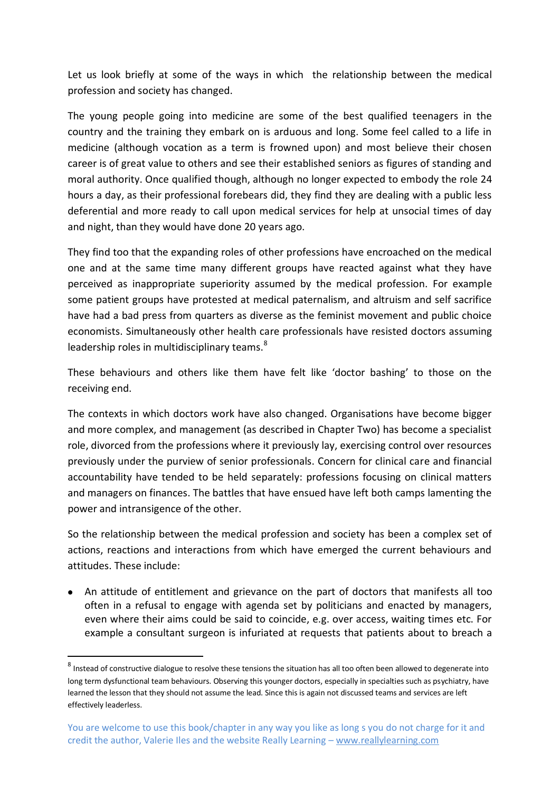Let us look briefly at some of the ways in which the relationship between the medical profession and society has changed.

The young people going into medicine are some of the best qualified teenagers in the country and the training they embark on is arduous and long. Some feel called to a life in medicine (although vocation as a term is frowned upon) and most believe their chosen career is of great value to others and see their established seniors as figures of standing and moral authority. Once qualified though, although no longer expected to embody the role 24 hours a day, as their professional forebears did, they find they are dealing with a public less deferential and more ready to call upon medical services for help at unsocial times of day and night, than they would have done 20 years ago.

They find too that the expanding roles of other professions have encroached on the medical one and at the same time many different groups have reacted against what they have perceived as inappropriate superiority assumed by the medical profession. For example some patient groups have protested at medical paternalism, and altruism and self sacrifice have had a bad press from quarters as diverse as the feminist movement and public choice economists. Simultaneously other health care professionals have resisted doctors assuming leadership roles in multidisciplinary teams.<sup>8</sup>

These behaviours and others like them have felt like 'doctor bashing' to those on the receiving end.

The contexts in which doctors work have also changed. Organisations have become bigger and more complex, and management (as described in Chapter Two) has become a specialist role, divorced from the professions where it previously lay, exercising control over resources previously under the purview of senior professionals. Concern for clinical care and financial accountability have tended to be held separately: professions focusing on clinical matters and managers on finances. The battles that have ensued have left both camps lamenting the power and intransigence of the other.

So the relationship between the medical profession and society has been a complex set of actions, reactions and interactions from which have emerged the current behaviours and attitudes. These include:

An attitude of entitlement and grievance on the part of doctors that manifests all too often in a refusal to engage with agenda set by politicians and enacted by managers, even where their aims could be said to coincide, e.g. over access, waiting times etc. For example a consultant surgeon is infuriated at requests that patients about to breach a

-

 $^8$  Instead of constructive dialogue to resolve these tensions the situation has all too often been allowed to degenerate into long term dysfunctional team behaviours. Observing this younger doctors, especially in specialties such as psychiatry, have learned the lesson that they should not assume the lead. Since this is again not discussed teams and services are left effectively leaderless.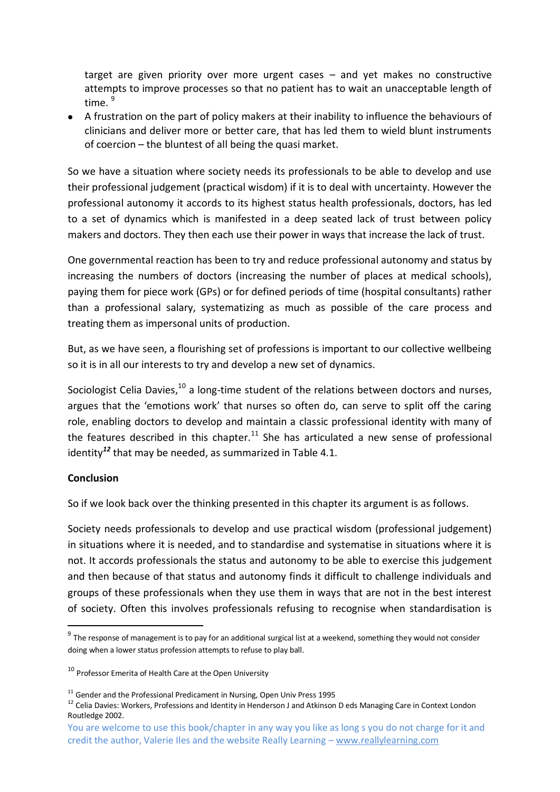target are given priority over more urgent cases – and yet makes no constructive attempts to improve processes so that no patient has to wait an unacceptable length of time<sup>9</sup>

A frustration on the part of policy makers at their inability to influence the behaviours of clinicians and deliver more or better care, that has led them to wield blunt instruments of coercion – the bluntest of all being the quasi market.

So we have a situation where society needs its professionals to be able to develop and use their professional judgement (practical wisdom) if it is to deal with uncertainty. However the professional autonomy it accords to its highest status health professionals, doctors, has led to a set of dynamics which is manifested in a deep seated lack of trust between policy makers and doctors. They then each use their power in ways that increase the lack of trust.

One governmental reaction has been to try and reduce professional autonomy and status by increasing the numbers of doctors (increasing the number of places at medical schools), paying them for piece work (GPs) or for defined periods of time (hospital consultants) rather than a professional salary, systematizing as much as possible of the care process and treating them as impersonal units of production.

But, as we have seen, a flourishing set of professions is important to our collective wellbeing so it is in all our interests to try and develop a new set of dynamics.

Sociologist Celia Davies, $10$  a long-time student of the relations between doctors and nurses, argues that the 'emotions work' that nurses so often do, can serve to split off the caring role, enabling doctors to develop and maintain a classic professional identity with many of the features described in this chapter.<sup>11</sup> She has articulated a new sense of professional identity*<sup>12</sup>* that may be needed, as summarized in Table 4.1.

## **Conclusion**

-

So if we look back over the thinking presented in this chapter its argument is as follows.

Society needs professionals to develop and use practical wisdom (professional judgement) in situations where it is needed, and to standardise and systematise in situations where it is not. It accords professionals the status and autonomy to be able to exercise this judgement and then because of that status and autonomy finds it difficult to challenge individuals and groups of these professionals when they use them in ways that are not in the best interest of society. Often this involves professionals refusing to recognise when standardisation is

 $^9$  The response of management is to pay for an additional surgical list at a weekend, something they would not consider doing when a lower status profession attempts to refuse to play ball.

<sup>&</sup>lt;sup>10</sup> Professor Emerita of Health Care at the Open University

<sup>&</sup>lt;sup>11</sup> Gender and the Professional Predicament in Nursing, Open Univ Press 1995

<sup>&</sup>lt;sup>12</sup> Celia Davies: Workers, Professions and Identity in Henderson J and Atkinson D eds Managing Care in Context London Routledge 2002.

You are welcome to use this book/chapter in any way you like as long s you do not charge for it and credit the author, Valerie Iles and the website Really Learning – www.reallylearning.com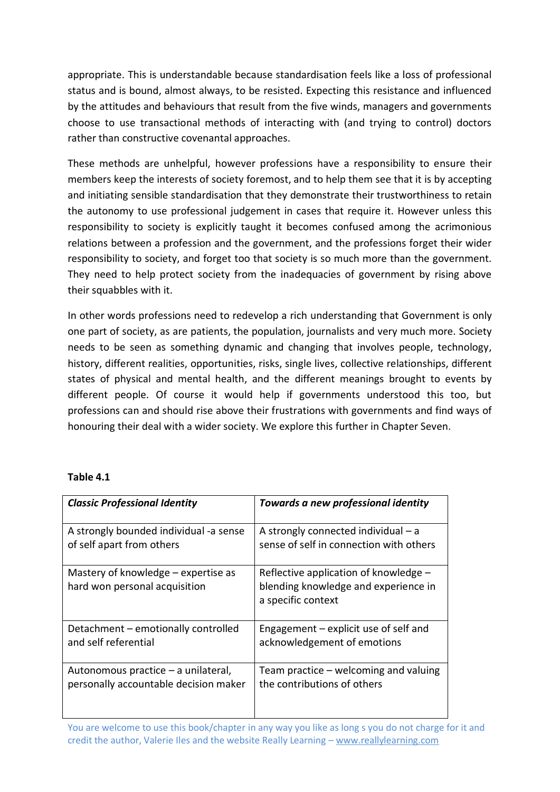appropriate. This is understandable because standardisation feels like a loss of professional status and is bound, almost always, to be resisted. Expecting this resistance and influenced by the attitudes and behaviours that result from the five winds, managers and governments choose to use transactional methods of interacting with (and trying to control) doctors rather than constructive covenantal approaches.

These methods are unhelpful, however professions have a responsibility to ensure their members keep the interests of society foremost, and to help them see that it is by accepting and initiating sensible standardisation that they demonstrate their trustworthiness to retain the autonomy to use professional judgement in cases that require it. However unless this responsibility to society is explicitly taught it becomes confused among the acrimonious relations between a profession and the government, and the professions forget their wider responsibility to society, and forget too that society is so much more than the government. They need to help protect society from the inadequacies of government by rising above their squabbles with it.

In other words professions need to redevelop a rich understanding that Government is only one part of society, as are patients, the population, journalists and very much more. Society needs to be seen as something dynamic and changing that involves people, technology, history, different realities, opportunities, risks, single lives, collective relationships, different states of physical and mental health, and the different meanings brought to events by different people. Of course it would help if governments understood this too, but professions can and should rise above their frustrations with governments and find ways of honouring their deal with a wider society. We explore this further in Chapter Seven.

## **Table 4.1**

| <b>Classic Professional Identity</b>                                 | Towards a new professional identity                                                                 |
|----------------------------------------------------------------------|-----------------------------------------------------------------------------------------------------|
| A strongly bounded individual -a sense                               | A strongly connected individual - a                                                                 |
| of self apart from others                                            | sense of self in connection with others                                                             |
| Mastery of knowledge – expertise as<br>hard won personal acquisition | Reflective application of knowledge -<br>blending knowledge and experience in<br>a specific context |
| Detachment - emotionally controlled                                  | Engagement - explicit use of self and                                                               |
| and self referential                                                 | acknowledgement of emotions                                                                         |
| Autonomous practice – a unilateral,                                  | Team practice - welcoming and valuing                                                               |
| personally accountable decision maker                                | the contributions of others                                                                         |

You are welcome to use this book/chapter in any way you like as long s you do not charge for it and credit the author, Valerie Iles and the website Really Learning – www.reallylearning.com